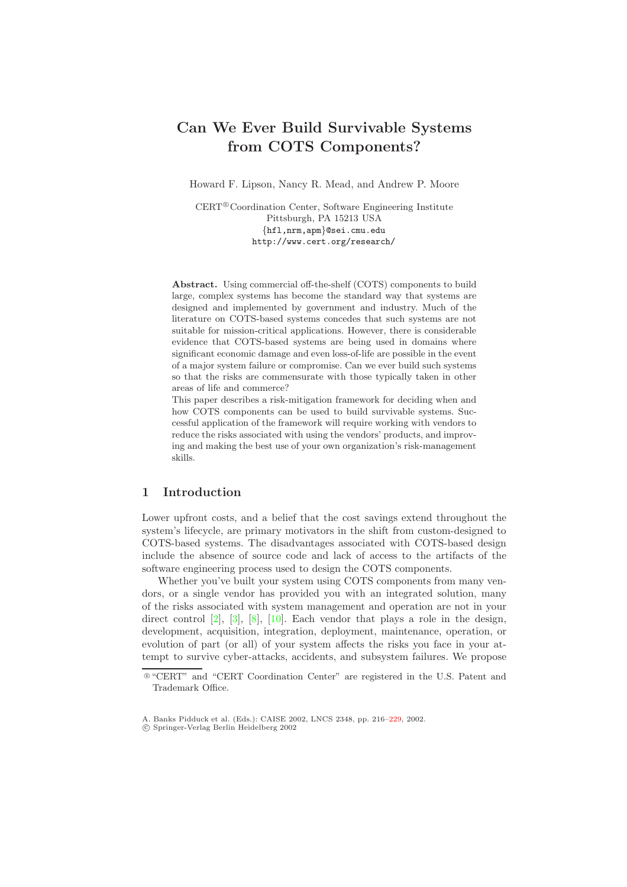# <span id="page-0-1"></span><span id="page-0-0"></span>**Can We Ever Build Survivable Systems from COTS Components?**

Howard F. Lipson, Nancy R. Mead, and Andrew P. Moore

 $CERT^®$  Coordination Center, Software Engineering Institute Pittsburgh, PA 15213 USA *{*hfl,nrm,apm*}*@sei.cmu.edu http://www.cert.org/research/

**Abstract.** Using commercial off-the-shelf (COTS) components to build large, complex systems has become the standard way that systems are designed and implemented by government and industry. Much of the literature on COTS-based systems concedes that such systems are not suitable for mission-critical applications. However, there is considerable evidence that COTS-based systems are being used in domains where significant economic damage and even loss-of-life are possible in the event of a major system failure or compromise. Can we ever build such systems so that the risks are commensurate with those typically taken in other areas of life and commerce?

This paper describes a risk-mitigation framework for deciding when and how COTS components can be used to build survivable systems. Successful application of the framework will require working with vendors to reduce the risks associated with using the vendors' products, and improving and making the best use of your own organization's risk-management skills.

# **1 Introduction**

Lower upfront costs, and a belief that the cost savings extend throughout the system's lifecycle, are primary motivators in the shift from custom-designed to COTS-based systems. The disadvantages associated with COTS-based design include the absence of source code and lack of access to the artifacts of the software engineering process used to design the COTS components.

Whether you've built your system using COTS components from many vendors, or a single vendor has provided you with an integrated solution, many of the risks associated with system management and operation are not in your direct control  $[2]$ ,  $[3]$ ,  $[8]$ ,  $[10]$ . Each vendor that plays a role in the design, development, acquisition, integration, deployment, maintenance, operation, or evolution of part (or all) of your systemaffects the risks you face in your attempt to survive cyber-attacks, accidents, and subsystem failures. We propose

<sup>r</sup> "CERT" and "CERT Coordination Center" are registered in the U.S. Patent and Trademark Office.

A. Banks Pidduck et al. (Eds.): CAISE 2002, LNCS 2348, pp. 216[–229,](#page-13-2) 2002.

c Springer-Verlag Berlin Heidelberg 2002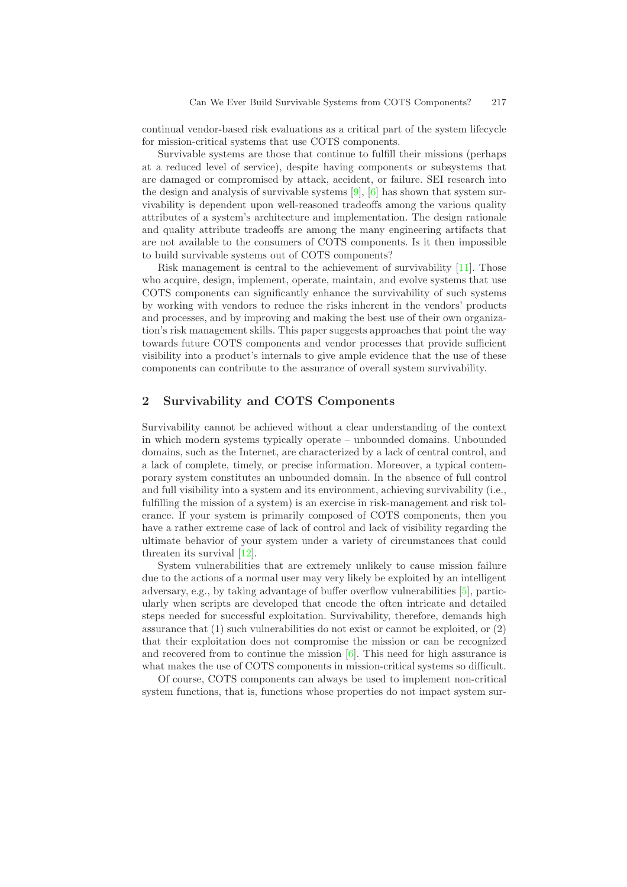<span id="page-1-0"></span>continual vendor-based risk evaluations as a critical part of the system lifecycle for mission-critical systems that use COTS components.

Survivable systems are those that continue to fulfill their missions (perhaps at a reduced level of service), despite having components or subsystems that are damaged or compromised by attack, accident, or failure. SEI research into the design and analysis of survivable systems [\[9\]](#page-13-3), [\[6\]](#page-13-4) has shown that systemsurvivability is dependent upon well-reasoned tradeoffs among the various quality attributes of a system's architecture and implementation. The design rationale and quality attribute tradeoffs are among the many engineering artifacts that are not available to the consumers of COTS components. Is it then impossible to build survivable systems out of COTS components?

Risk management is central to the achievement of survivability [\[11\]](#page-13-5). Those who acquire, design, implement, operate, maintain, and evolve systems that use COTS components can significantly enhance the survivability of such systems by working with vendors to reduce the risks inherent in the vendors' products and processes, and by improving and making the best use of their own organization's risk management skills. This paper suggests approaches that point the way towards future COTS components and vendor processes that provide sufficient visibility into a product's internals to give ample evidence that the use of these components can contribute to the assurance of overall system survivability.

#### **2 Survivability and COTS Components**

Survivability cannot be achieved without a clear understanding of the context in which modern systems typically operate – unbounded domains. Unbounded domains, such as the Internet, are characterized by a lack of central control, and a lack of complete, timely, or precise information. Moreover, a typical contemporary system constitutes an unbounded domain. In the absence of full control and full visibility into a systemand its environment, achieving survivability (i.e., fulfilling the mission of a system) is an exercise in risk-management and risk tolerance. If your system is primarily composed of COTS components, then you have a rather extreme case of lack of control and lack of visibility regarding the ultimate behavior of your system under a variety of circumstances that could threaten its survival [\[12\]](#page-13-6).

System vulnerabilities that are extremely unlikely to cause mission failure due to the actions of a normal user may very likely be exploited by an intelligent adversary, e.g., by taking advantage of buffer overflow vulnerabilities [\[5\]](#page-13-7), particularly when scripts are developed that encode the often intricate and detailed steps needed for successful exploitation. Survivability, therefore, demands high assurance that (1) such vulnerabilities do not exist or cannot be exploited, or (2) that their exploitation does not compromise the mission or can be recognized and recovered from to continue the mission  $[6]$ . This need for high assurance is what makes the use of COTS components in mission-critical systems so difficult.

Of course, COTS components can always be used to implement non-critical system functions, that is, functions whose properties do not impact system sur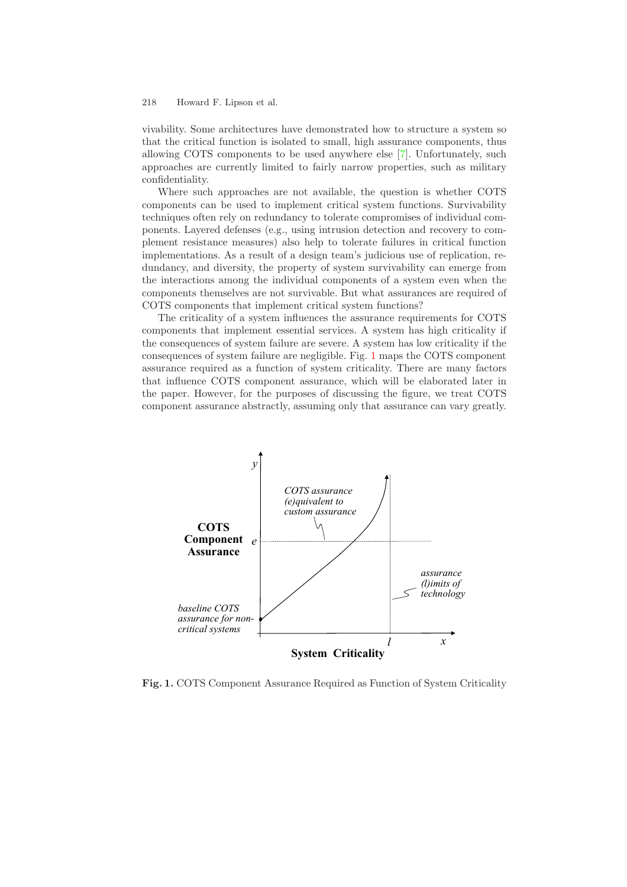<span id="page-2-2"></span>vivability. Some architectures have demonstrated how to structure a system so that the critical function is isolated to small, high assurance components, thus allowing COTS components to be used anywhere else [\[7\]](#page-13-8). Unfortunately, such approaches are currently limited to fairly narrow properties, such as military confidentiality.

Where such approaches are not available, the question is whether COTS components can be used to implement critical system functions. Survivability techniques often rely on redundancy to tolerate compromises of individual components. Layered defenses (e.g., using intrusion detection and recovery to complement resistance measures) also help to tolerate failures in critical function implementations. As a result of a design team's judicious use of replication, redundancy, and diversity, the property of system survivability can emerge from the interactions among the individual components of a system even when the components themselves are not survivable. But what assurances are required of COTS components that implement critical system functions?

The criticality of a systeminfluences the assurance requirements for COTS components that implement essential services. A system has high criticality if the consequences of system failure are severe. A system has low criticality if the consequences of systemfailure are negligible. Fig. [1](#page-2-0) maps the COTS component assurance required as a function of systemcriticality. There are many factors that influence COTS component assurance, which will be elaborated later in the paper. However, for the purposes of discussing the figure, we treat COTS component assurance abstractly, assuming only that assurance can vary greatly.

<span id="page-2-1"></span><span id="page-2-0"></span>

**Fig. 1.** COTS Component Assurance Required as Function of System Criticality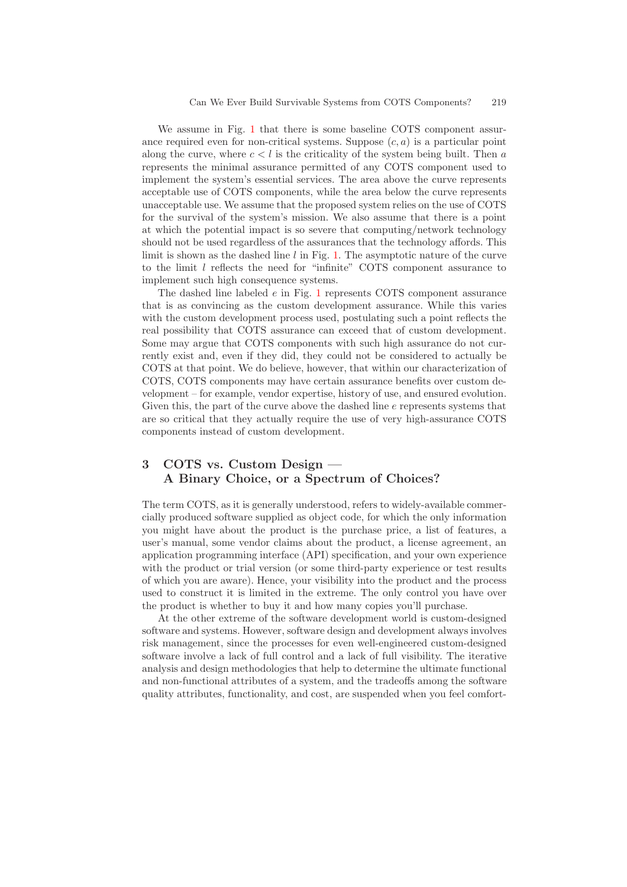We assume in Fig. [1](#page-2-1) that there is some baseline COTS component assurance required even for non-critical systems. Suppose  $(c, a)$  is a particular point along the curve, where  $c < l$  is the criticality of the system being built. Then  $a$ represents the minimal assurance permitted of any COTS component used to implement the system's essential services. The area above the curve represents acceptable use of COTS components, while the area below the curve represents unacceptable use. We assume that the proposed system relies on the use of COTS for the survival of the system's mission. We also assume that there is a point at which the potential impact is so severe that computing/network technology should not be used regardless of the assurances that the technology affords. This limit is shown as the dashed line *l* in Fig. [1.](#page-2-1) The asymptotic nature of the curve to the limit *l* reflects the need for "infinite" COTS component assurance to implement such high consequence systems.

The dashed line labeled *e* in Fig. [1](#page-2-1) represents COTS component assurance that is as convincing as the customdevelopment assurance. While this varies with the custom development process used, postulating such a point reflects the real possibility that COTS assurance can exceed that of customdevelopment. Some may argue that COTS components with such high assurance do not currently exist and, even if they did, they could not be considered to actually be COTS at that point. We do believe, however, that within our characterization of COTS, COTS components may have certain assurance benefits over custom development – for example, vendor expertise, history of use, and ensured evolution. Given this, the part of the curve above the dashed line *e* represents systems that are so critical that they actually require the use of very high-assurance COTS components instead of custom development.

# **3 COTS vs. Custom Design — A Binary Choice, or a Spectrum of Choices?**

The term COTS, as it is generally understood, refers to widely-available commercially produced software supplied as object code, for which the only information you might have about the product is the purchase price, a list of features, a user's manual, some vendor claims about the product, a license agreement, an application programming interface (API) specification, and your own experience with the product or trial version (or some third-party experience or test results of which you are aware). Hence, your visibility into the product and the process used to construct it is limited in the extreme. The only control you have over the product is whether to buy it and how many copies you'll purchase.

At the other extreme of the software development world is custom-designed software and systems. However, software design and development always involves risk management, since the processes for even well-engineered custom-designed software involve a lack of full control and a lack of full visibility. The iterative analysis and design methodologies that help to determine the ultimate functional and non-functional attributes of a system, and the tradeoffs among the software quality attributes, functionality, and cost, are suspended when you feel comfort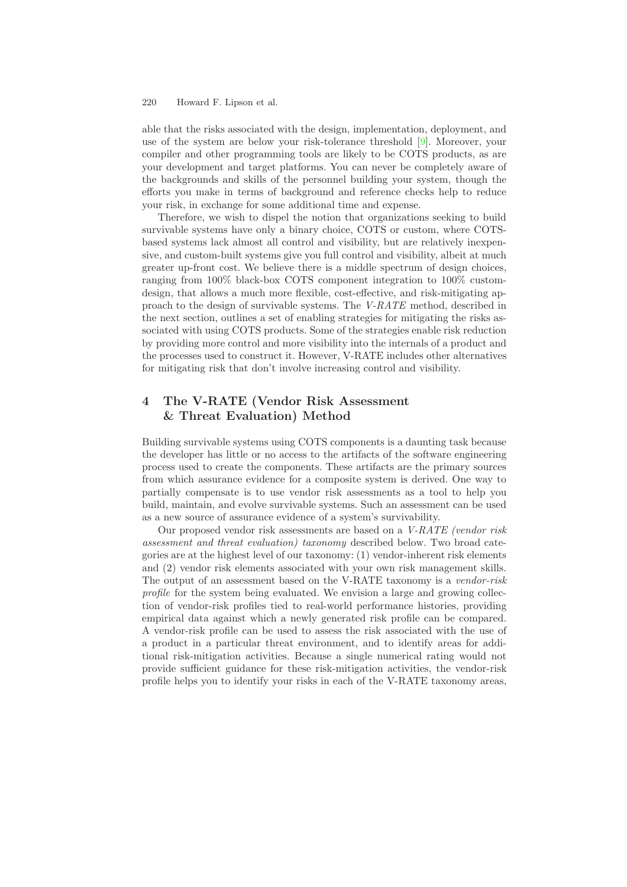<span id="page-4-0"></span>able that the risks associated with the design, implementation, deployment, and use of the system are below your risk-tolerance threshold [\[9\]](#page-13-9). Moreover, your compiler and other programming tools are likely to be COTS products, as are your development and target platforms. You can never be completely aware of the backgrounds and skills of the personnel building your system, though the efforts you make in terms of background and reference checks help to reduce your risk, in exchange for some additional time and expense.

Therefore, we wish to dispel the notion that organizations seeking to build survivable systems have only a binary choice, COTS or custom, where COTSbased systems lack almost all control and visibility, but are relatively inexpensive, and custom-built systems give you full control and visibility, albeit at much greater up-front cost. We believe there is a middle spectrum of design choices, ranging from 100% black-box COTS component integration to 100% customdesign, that allows a much more flexible, cost-effective, and risk-mitigating approach to the design of survivable systems. The *V-RATE* method, described in the next section, outlines a set of enabling strategies for mitigating the risks associated with using COTS products. Some of the strategies enable risk reduction by providing more control and more visibility into the internals of a product and the processes used to construct it. However, V-RATE includes other alternatives for mitigating risk that don't involve increasing control and visibility.

# **4 The V-RATE (Vendor Risk Assessment & Threat Evaluation) Method**

Building survivable systems using COTS components is a daunting task because the developer has little or no access to the artifacts of the software engineering process used to create the components. These artifacts are the primary sources from which assurance evidence for a composite system is derived. One way to partially compensate is to use vendor risk assessments as a tool to help you build, maintain, and evolve survivable systems. Such an assessment can be used as a new source of assurance evidence of a system's survivability.

Our proposed vendor risk assessments are based on a *V-RATE (vendor risk assessment and threat evaluation) taxonomy* described below. Two broad categories are at the highest level of our taxonomy: (1) vendor-inherent risk elements and (2) vendor risk elements associated with your own risk management skills. The output of an assessment based on the V-RATE taxonomy is a *vendor-risk profile* for the system being evaluated. We envision a large and growing collection of vendor-risk profiles tied to real-world performance histories, providing empirical data against which a newly generated risk profile can be compared. A vendor-risk profile can be used to assess the risk associated with the use of a product in a particular threat environment, and to identify areas for additional risk-mitigation activities. Because a single numerical rating would not provide sufficient guidance for these risk-mitigation activities, the vendor-risk profile helps you to identify your risks in each of the V-RATE taxonomy areas,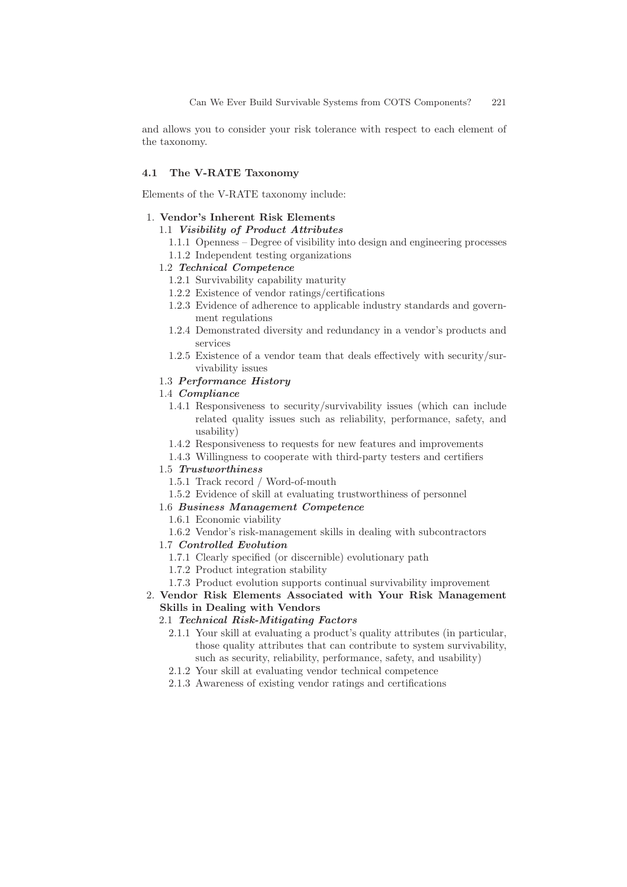and allows you to consider your risk tolerance with respect to each element of the taxonomy.

#### **4.1 The V-RATE Taxonomy**

Elements of the V-RATE taxonomy include:

#### 1. **Vendor's Inherent Risk Elements**

## 1.1 *Visibility of Product Attributes*

- 1.1.1 Openness Degree of visibility into design and engineering processes
- 1.1.2 Independent testing organizations

#### 1.2 *Technical Competence*

- 1.2.1 Survivability capability maturity
- 1.2.2 Existence of vendor ratings/certifications
- 1.2.3 Evidence of adherence to applicable industry standards and government regulations
- 1.2.4 Demonstrated diversity and redundancy in a vendor's products and services
- 1.2.5 Existence of a vendor teamthat deals effectively with security/survivability issues

#### 1.3 *Performance History*

#### 1.4 *Compliance*

- 1.4.1 Responsiveness to security/survivability issues (which can include related quality issues such as reliability, performance, safety, and usability)
- 1.4.2 Responsiveness to requests for new features and improvements
- 1.4.3 Willingness to cooperate with third-party testers and certifiers

### 1.5 *Trustworthiness*

- 1.5.1 Track record / Word-of-mouth
- 1.5.2 Evidence of skill at evaluating trustworthiness of personnel

#### 1.6 *Business Management Competence*

- 1.6.1 Economic viability
- 1.6.2 Vendor's risk-management skills in dealing with subcontractors

#### 1.7 *Controlled Evolution*

- 1.7.1 Clearly specified (or discernible) evolutionary path
- 1.7.2 Product integration stability
- 1.7.3 Product evolution supports continual survivability improvement

## 2. **Vendor Risk Elements Associated with Your Risk Management Skills in Dealing with Vendors**

### 2.1 *Technical Risk-Mitigating Factors*

- 2.1.1 Your skill at evaluating a product's quality attributes (in particular, those quality attributes that can contribute to system survivability, such as security, reliability, performance, safety, and usability)
- 2.1.2 Your skill at evaluating vendor technical competence
- 2.1.3 Awareness of existing vendor ratings and certifications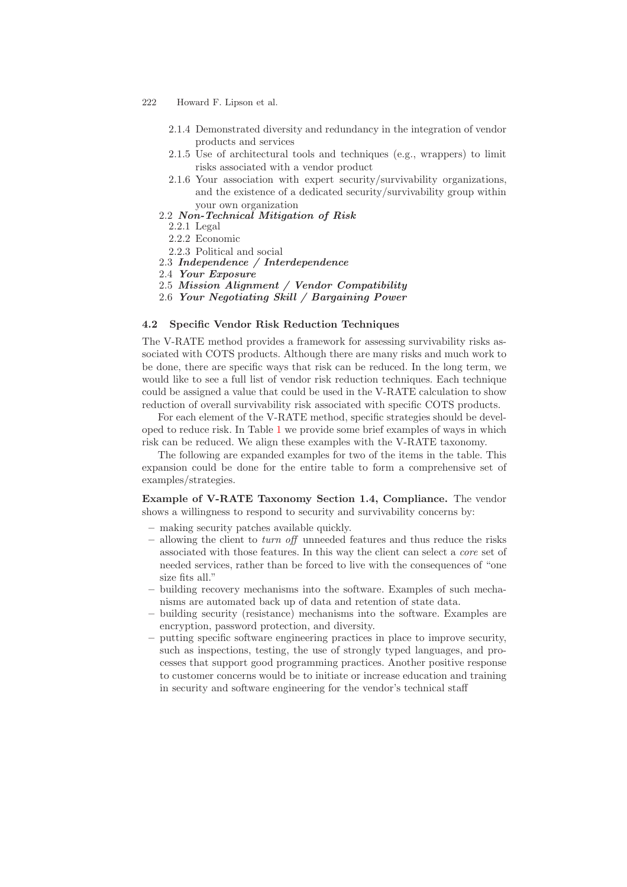- 2.1.4 Demonstrated diversity and redundancy in the integration of vendor products and services
- 2.1.5 Use of architectural tools and techniques (e.g., wrappers) to limit risks associated with a vendor product
- 2.1.6 Your association with expert security/survivability organizations, and the existence of a dedicated security/survivability group within your own organization
- 2.2 *Non-Technical Mitigation of Risk*
	- 2.2.1 Legal
	- 2.2.2 Economic
	- 2.2.3 Political and social
- 2.3 *Independence / Interdependence*
- 2.4 *Your Exposure*
- 2.5 *Mission Alignment / Vendor Compatibility*
- 2.6 *Your Negotiating Skill / Bargaining Power*

#### **4.2 Specific Vendor Risk Reduction Techniques**

The V-RATE method provides a framework for assessing survivability risks associated with COTS products. Although there are many risks and much work to be done, there are specific ways that risk can be reduced. In the long term, we would like to see a full list of vendor risk reduction techniques. Each technique could be assigned a value that could be used in the V-RATE calculation to show reduction of overall survivability risk associated with specific COTS products.

For each element of the V-RATE method, specific strategies should be developed to reduce risk. In Table [1](#page-7-0) we provide some brief examples of ways in which risk can be reduced. We align these examples with the V-RATE taxonomy.

The following are expanded examples for two of the items in the table. This expansion could be done for the entire table to forma comprehensive set of examples/strategies.

**Example of V-RATE Taxonomy Section 1.4, Compliance.** The vendor shows a willingness to respond to security and survivability concerns by:

- **–** making security patches available quickly.
- **–** allowing the client to *turn off* unneeded features and thus reduce the risks associated with those features. In this way the client can select a *core* set of needed services, rather than be forced to live with the consequences of "one size fits all."
- **–** building recovery mechanisms into the software. Examples of such mechanisms are automated back up of data and retention of state data.
- **–** building security (resistance) mechanisms into the software. Examples are encryption, password protection, and diversity.
- **–** putting specific software engineering practices in place to improve security, such as inspections, testing, the use of strongly typed languages, and processes that support good programming practices. Another positive response to customer concerns would be to initiate or increase education and training in security and software engineering for the vendor's technical staff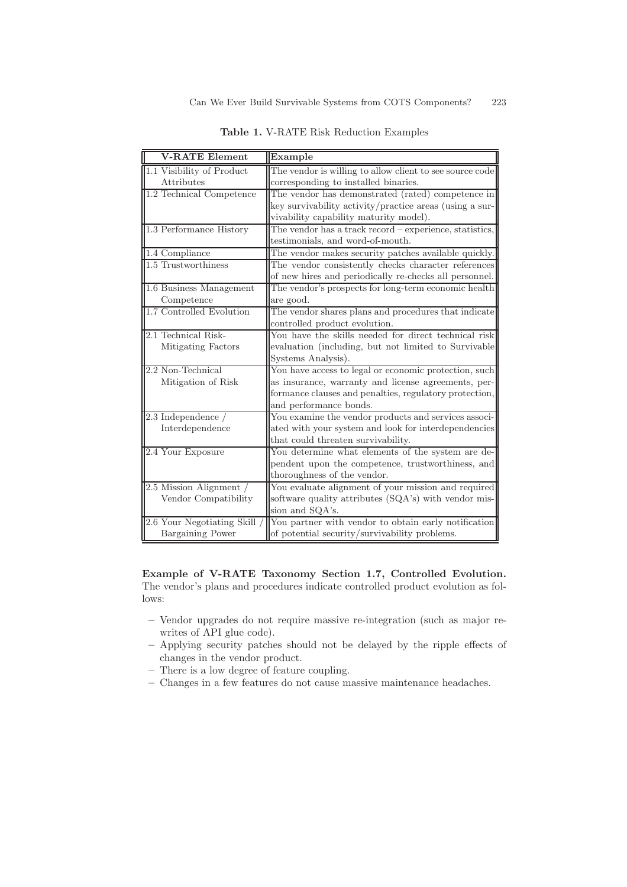| <b>V-RATE Element</b>      | Example                                                  |
|----------------------------|----------------------------------------------------------|
| 1.1 Visibility of Product  | The vendor is willing to allow client to see source code |
| Attributes                 | corresponding to installed binaries.                     |
| 1.2 Technical Competence   | The vendor has demonstrated (rated) competence in        |
|                            | key survivability activity/practice areas (using a sur-  |
|                            | vivability capability maturity model).                   |
| 1.3 Performance History    | The vendor has a track record – experience, statistics,  |
|                            | testimonials, and word-of-mouth.                         |
| 1.4 Compliance             | The vendor makes security patches available quickly.     |
| 1.5 Trustworthiness        | The vendor consistently checks character references      |
|                            | of new hires and periodically re-checks all personnel.   |
| 1.6 Business Management    | The vendor's prospects for long-term economic health     |
| Competence                 | are good.                                                |
| 1.7 Controlled Evolution   | The vendor shares plans and procedures that indicate     |
|                            | controlled product evolution.                            |
| 2.1 Technical Risk-        | You have the skills needed for direct technical risk     |
| Mitigating Factors         | evaluation (including, but not limited to Survivable     |
|                            | Systems Analysis).                                       |
| 2.2 Non-Technical          | You have access to legal or economic protection, such    |
| Mitigation of Risk         | as insurance, warranty and license agreements, per-      |
|                            | formance clauses and penalties, regulatory protection,   |
|                            | and performance bonds.                                   |
| $2.3$ Independence $/$     | You examine the vendor products and services associ-     |
| Interdependence            | ated with your system and look for interdependencies     |
|                            | that could threaten survivability.                       |
| 2.4 Your Exposure          | You determine what elements of the system are de-        |
|                            | pendent upon the competence, trustworthiness, and        |
|                            | thoroughness of the vendor.                              |
| 2.5 Mission Alignment /    | You evaluate alignment of your mission and required      |
| Vendor Compatibility       | software quality attributes (SQA's) with vendor mis-     |
|                            | sion and SQA's.                                          |
| 2.6 Your Negotiating Skill | You partner with vendor to obtain early notification     |
| Bargaining Power           | of potential security/survivability problems.            |

<span id="page-7-0"></span>**Table 1.** V-RATE Risk Reduction Examples

**Example of V-RATE Taxonomy Section 1.7, Controlled Evolution.** The vendor's plans and procedures indicate controlled product evolution as follows:

- **–** Vendor upgrades do not require massive re-integration (such as major rewrites of API glue code).
- **–** Applying security patches should not be delayed by the ripple effects of changes in the vendor product.
- **–** There is a low degree of feature coupling.
- **–** Changes in a few features do not cause massive maintenance headaches.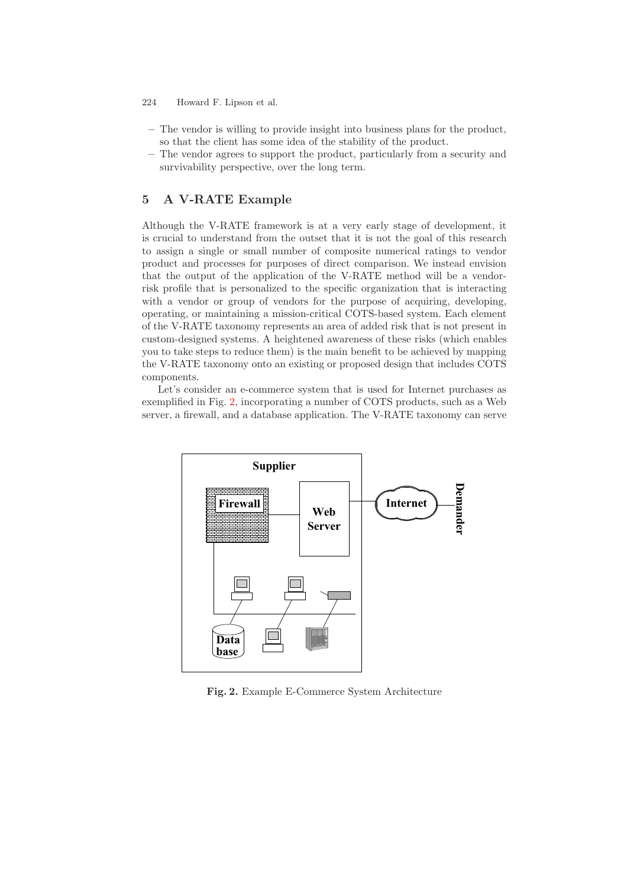- **–** The vendor is willing to provide insight into business plans for the product, so that the client has some idea of the stability of the product.
- **–** The vendor agrees to support the product, particularly froma security and survivability perspective, over the long term.

# **5 A V-RATE Example**

Although the V-RATE framework is at a very early stage of development, it is crucial to understand fromthe outset that it is not the goal of this research to assign a single or small number of composite numerical ratings to vendor product and processes for purposes of direct comparison. We instead envision that the output of the application of the V-RATE method will be a vendorrisk profile that is personalized to the specific organization that is interacting with a vendor or group of vendors for the purpose of acquiring, developing, operating, or maintaining a mission-critical COTS-based system. Each element of the V-RATE taxonomy represents an area of added risk that is not present in custom-designed systems. A heightened awareness of these risks (which enables you to take steps to reduce them) is the main benefit to be achieved by mapping the V-RATE taxonomy onto an existing or proposed design that includes COTS components.

Let's consider an e-commerce system that is used for Internet purchases as exemplified in Fig. [2,](#page-8-0) incorporating a number of COTS products, such as a Web server, a firewall, and a database application. The V-RATE taxonomy can serve

<span id="page-8-0"></span>

**Fig. 2.** Example E-Commerce System Architecture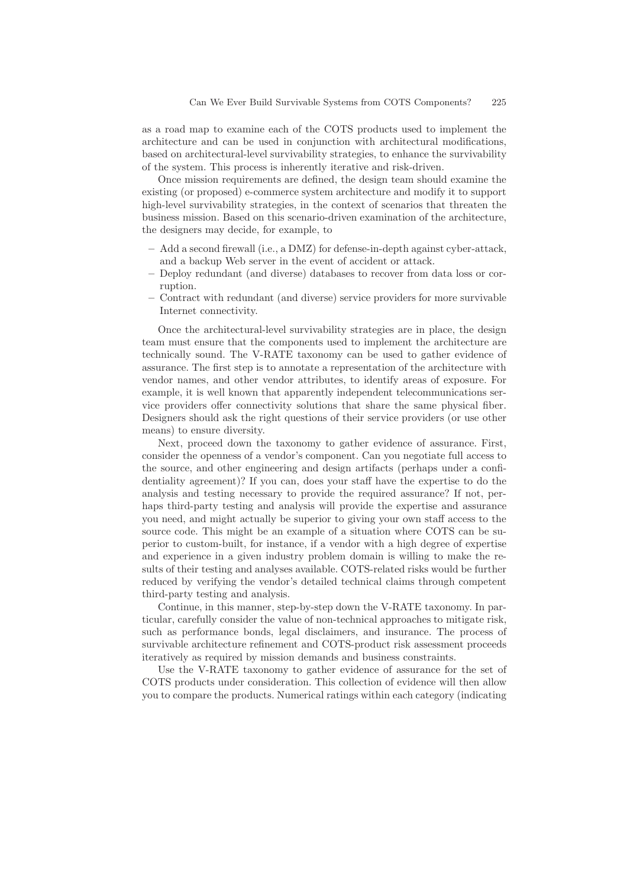as a road map to examine each of the COTS products used to implement the architecture and can be used in conjunction with architectural modifications, based on architectural-level survivability strategies, to enhance the survivability of the system. This process is inherently iterative and risk-driven.

Once mission requirements are defined, the design team should examine the existing (or proposed) e-commerce system architecture and modify it to support high-level survivability strategies, in the context of scenarios that threaten the business mission. Based on this scenario-driven examination of the architecture, the designers may decide, for example, to

- **–** Add a second firewall (i.e., a DMZ) for defense-in-depth against cyber-attack, and a backup Web server in the event of accident or attack.
- **–** Deploy redundant (and diverse) databases to recover fromdata loss or corruption.
- **–** Contract with redundant (and diverse) service providers for more survivable Internet connectivity.

Once the architectural-level survivability strategies are in place, the design team must ensure that the components used to implement the architecture are technically sound. The V-RATE taxonomy can be used to gather evidence of assurance. The first step is to annotate a representation of the architecture with vendor names, and other vendor attributes, to identify areas of exposure. For example, it is well known that apparently independent telecommunications service providers offer connectivity solutions that share the same physical fiber. Designers should ask the right questions of their service providers (or use other means) to ensure diversity.

Next, proceed down the taxonomy to gather evidence of assurance. First, consider the openness of a vendor's component. Can you negotiate full access to the source, and other engineering and design artifacts (perhaps under a confidentiality agreement)? If you can, does your staff have the expertise to do the analysis and testing necessary to provide the required assurance? If not, perhaps third-party testing and analysis will provide the expertise and assurance you need, and might actually be superior to giving your own staff access to the source code. This might be an example of a situation where COTS can be superior to custom-built, for instance, if a vendor with a high degree of expertise and experience in a given industry problem domain is willing to make the results of their testing and analyses available. COTS-related risks would be further reduced by verifying the vendor's detailed technical claims through competent third-party testing and analysis.

Continue, in this manner, step-by-step down the V-RATE taxonomy. In particular, carefully consider the value of non-technical approaches to mitigate risk, such as performance bonds, legal disclaimers, and insurance. The process of survivable architecture refinement and COTS-product risk assessment proceeds iteratively as required by mission demands and business constraints.

Use the V-RATE taxonomy to gather evidence of assurance for the set of COTS products under consideration. This collection of evidence will then allow you to compare the products. Numerical ratings within each category (indicating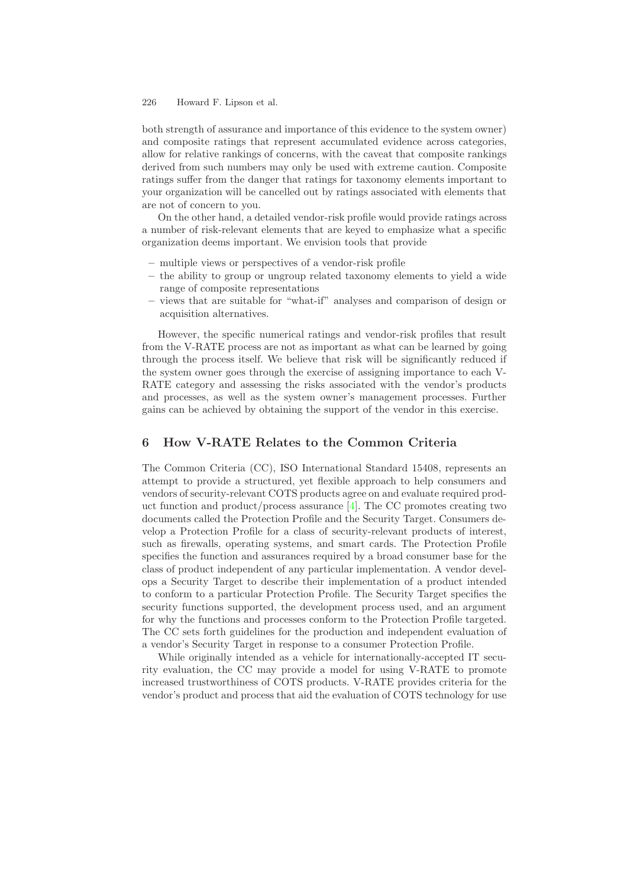<span id="page-10-0"></span>both strength of assurance and importance of this evidence to the system owner) and composite ratings that represent accumulated evidence across categories, allow for relative rankings of concerns, with the caveat that composite rankings derived from such numbers may only be used with extreme caution. Composite ratings suffer from the danger that ratings for taxonomy elements important to your organization will be cancelled out by ratings associated with elements that are not of concern to you.

On the other hand, a detailed vendor-risk profile would provide ratings across a number of risk-relevant elements that are keyed to emphasize what a specific organization deems important. We envision tools that provide

- **–** multiple views or perspectives of a vendor-risk profile
- **–** the ability to group or ungroup related taxonomy elements to yield a wide range of composite representations
- **–** views that are suitable for "what-if" analyses and comparison of design or acquisition alternatives.

However, the specific numerical ratings and vendor-risk profiles that result fromthe V-RATE process are not as important as what can be learned by going through the process itself. We believe that risk will be significantly reduced if the systemowner goes through the exercise of assigning importance to each V-RATE category and assessing the risks associated with the vendor's products and processes, as well as the system owner's management processes. Further gains can be achieved by obtaining the support of the vendor in this exercise.

# **6 How V-RATE Relates to the Common Criteria**

The Common Criteria (CC), ISO International Standard 15408, represents an attempt to provide a structured, yet flexible approach to help consumers and vendors of security-relevant COTS products agree on and evaluate required product function and product/process assurance [\[4\]](#page-12-2). The CC promotes creating two documents called the Protection Profile and the Security Target. Consumers develop a Protection Profile for a class of security-relevant products of interest, such as firewalls, operating systems, and smart cards. The Protection Profile specifies the function and assurances required by a broad consumer base for the class of product independent of any particular implementation. A vendor develops a Security Target to describe their implementation of a product intended to conformto a particular Protection Profile. The Security Target specifies the security functions supported, the development process used, and an argument for why the functions and processes conform to the Protection Profile targeted. The CC sets forth guidelines for the production and independent evaluation of a vendor's Security Target in response to a consumer Protection Profile.

While originally intended as a vehicle for internationally-accepted IT security evaluation, the CC may provide a model for using V-RATE to promote increased trustworthiness of COTS products. V-RATE provides criteria for the vendor's product and process that aid the evaluation of COTS technology for use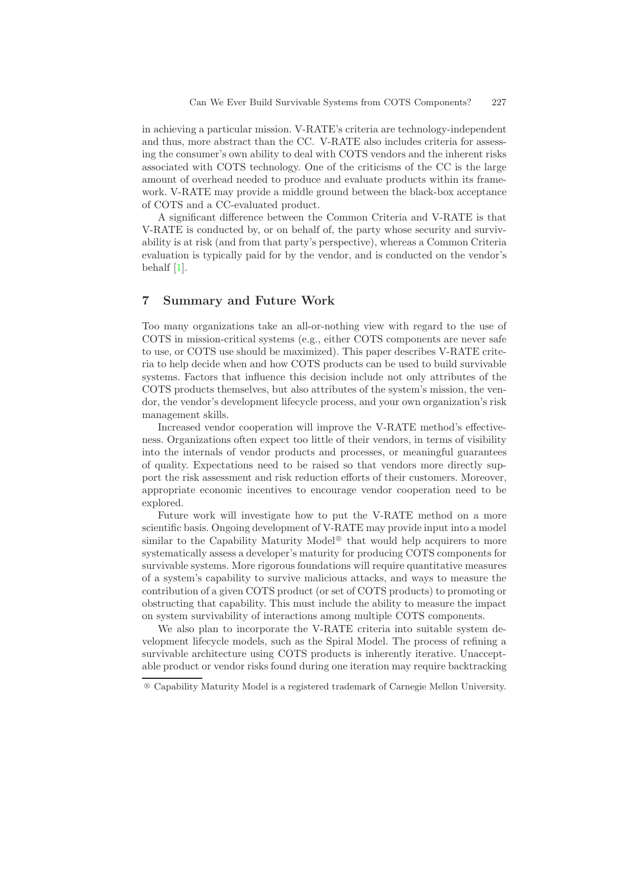<span id="page-11-0"></span>in achieving a particular mission. V-RATE's criteria are technology-independent and thus, more abstract than the CC. V-RATE also includes criteria for assessing the consumer's own ability to deal with COTS vendors and the inherent risks associated with COTS technology. One of the criticisms of the CC is the large amount of overhead needed to produce and evaluate products within its framework. V-RATE may provide a middle ground between the black-box acceptance of COTS and a CC-evaluated product.

A significant difference between the Common Criteria and V-RATE is that V-RATE is conducted by, or on behalf of, the party whose security and survivability is at risk (and from that party's perspective), whereas a Common Criteria evaluation is typically paid for by the vendor, and is conducted on the vendor's behalf [\[1\]](#page-12-3).

#### **7 Summary and Future Work**

Too many organizations take an all-or-nothing view with regard to the use of COTS in mission-critical systems (e.g., either COTS components are never safe to use, or COTS use should be maximized). This paper describes V-RATE criteria to help decide when and how COTS products can be used to build survivable systems. Factors that influence this decision include not only attributes of the COTS products themselves, but also attributes of the system's mission, the vendor, the vendor's development lifecycle process, and your own organization's risk management skills.

Increased vendor cooperation will improve the V-RATE method's effectiveness. Organizations often expect too little of their vendors, in terms of visibility into the internals of vendor products and processes, or meaningful guarantees of quality. Expectations need to be raised so that vendors more directly support the risk assessment and risk reduction efforts of their customers. Moreover, appropriate economic incentives to encourage vendor cooperation need to be explored.

Future work will investigate how to put the V-RATE method on a more scientific basis. Ongoing development of V-RATE may provide input into a model similar to the Capability Maturity Model<sup> $\circledcirc$ </sup> that would help acquirers to more systematically assess a developer's maturity for producing COTS components for survivable systems. More rigorous foundations will require quantitative measures of a system's capability to survive malicious attacks, and ways to measure the contribution of a given COTS product (or set of COTS products) to promoting or obstructing that capability. This must include the ability to measure the impact on system survivability of interactions among multiple COTS components.

We also plan to incorporate the V-RATE criteria into suitable system development lifecycle models, such as the Spiral Model. The process of refining a survivable architecture using COTS products is inherently iterative. Unacceptable product or vendor risks found during one iteration may require backtracking

<sup>r</sup> Capability Maturity Model is a registered trademark of Carnegie Mellon University.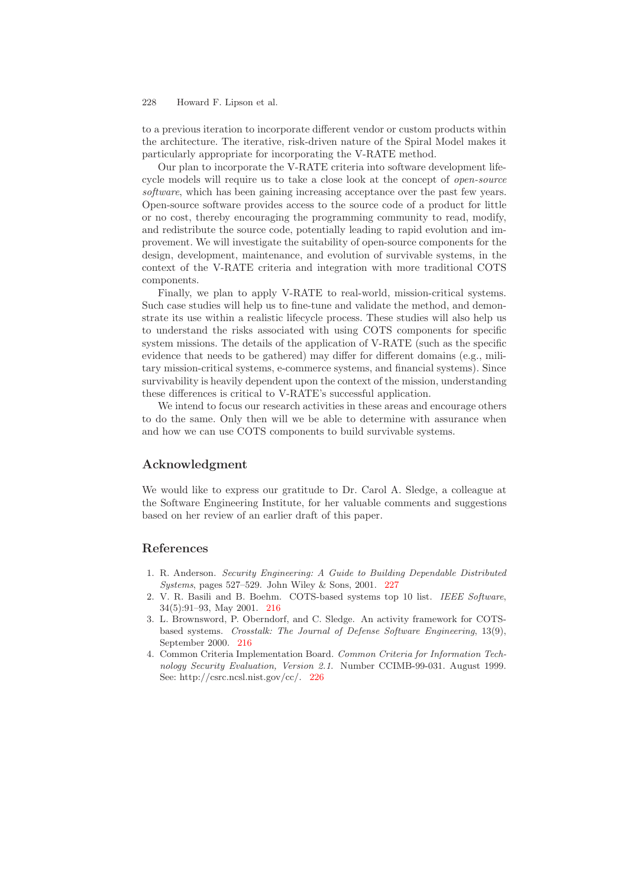to a previous iteration to incorporate different vendor or customproducts within the architecture. The iterative, risk-driven nature of the Spiral Model makes it particularly appropriate for incorporating the V-RATE method.

Our plan to incorporate the V-RATE criteria into software development lifecycle models will require us to take a close look at the concept of *open-source software*, which has been gaining increasing acceptance over the past few years. Open-source software provides access to the source code of a product for little or no cost, thereby encouraging the programming community to read, modify, and redistribute the source code, potentially leading to rapid evolution and improvement. We will investigate the suitability of open-source components for the design, development, maintenance, and evolution of survivable systems, in the context of the V-RATE criteria and integration with more traditional COTS components.

Finally, we plan to apply V-RATE to real-world, mission-critical systems. Such case studies will help us to fine-tune and validate the method, and demonstrate its use within a realistic lifecycle process. These studies will also help us to understand the risks associated with using COTS components for specific systemmissions. The details of the application of V-RATE (such as the specific evidence that needs to be gathered) may differ for different domains (e.g., military mission-critical systems, e-commerce systems, and financial systems). Since survivability is heavily dependent upon the context of the mission, understanding these differences is critical to V-RATE's successful application.

We intend to focus our research activities in these areas and encourage others to do the same. Only then will we be able to determine with assurance when and how we can use COTS components to build survivable systems.

### **Acknowledgment**

We would like to express our gratitude to Dr. Carol A. Sledge, a colleague at the Software Engineering Institute, for her valuable comments and suggestions based on her review of an earlier draft of this paper.

### <span id="page-12-3"></span><span id="page-12-0"></span>**References**

- 1. R. Anderson. *Security Engineering: A Guide to Building Dependable Distributed Systems*, pages 527–529. John Wiley & Sons, 2001. [227](#page-11-0)
- <span id="page-12-1"></span>2. V. R. Basili and B. Boehm. COTS-based systems top 10 list. *IEEE Software*, 34(5):91–93, May 2001. [216](#page-0-0)
- <span id="page-12-2"></span>3. L. Brownsword, P. Oberndorf, and C. Sledge. An activity framework for COTSbased systems. *Crosstalk: The Journal of Defense Software Engineering*, 13(9), September 2000. [216](#page-0-0)
- 4. Common Criteria Implementation Board. *Common Criteria for Information Technology Security Evaluation, Version 2.1*. Number CCIMB-99-031. August 1999. See: http://csrc.ncsl.nist.gov/cc/. [226](#page-10-0)